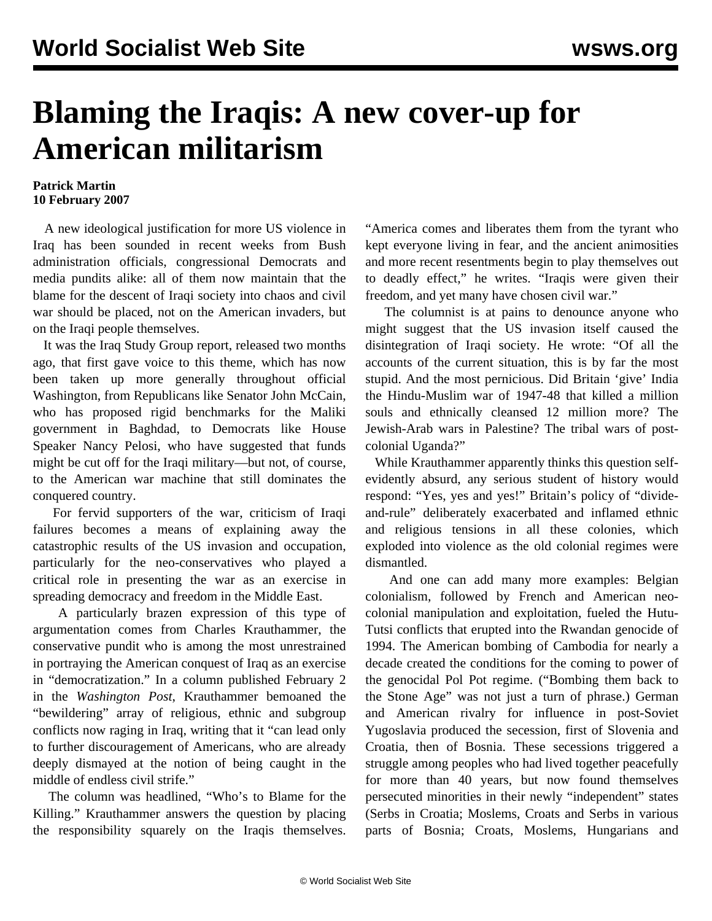## **Blaming the Iraqis: A new cover-up for American militarism**

## **Patrick Martin 10 February 2007**

 A new ideological justification for more US violence in Iraq has been sounded in recent weeks from Bush administration officials, congressional Democrats and media pundits alike: all of them now maintain that the blame for the descent of Iraqi society into chaos and civil war should be placed, not on the American invaders, but on the Iraqi people themselves.

 It was the Iraq Study Group report, released two months ago, that first gave voice to this theme, which has now been taken up more generally throughout official Washington, from Republicans like Senator John McCain, who has proposed rigid benchmarks for the Maliki government in Baghdad, to Democrats like House Speaker Nancy Pelosi, who have suggested that funds might be cut off for the Iraqi military—but not, of course, to the American war machine that still dominates the conquered country.

 For fervid supporters of the war, criticism of Iraqi failures becomes a means of explaining away the catastrophic results of the US invasion and occupation, particularly for the neo-conservatives who played a critical role in presenting the war as an exercise in spreading democracy and freedom in the Middle East.

 A particularly brazen expression of this type of argumentation comes from Charles Krauthammer, the conservative pundit who is among the most unrestrained in portraying the American conquest of Iraq as an exercise in "democratization." In a column published February 2 in the *Washington Post*, Krauthammer bemoaned the "bewildering" array of religious, ethnic and subgroup conflicts now raging in Iraq, writing that it "can lead only to further discouragement of Americans, who are already deeply dismayed at the notion of being caught in the middle of endless civil strife."

 The column was headlined, "Who's to Blame for the Killing." Krauthammer answers the question by placing the responsibility squarely on the Iraqis themselves. "America comes and liberates them from the tyrant who kept everyone living in fear, and the ancient animosities and more recent resentments begin to play themselves out to deadly effect," he writes. "Iraqis were given their freedom, and yet many have chosen civil war."

 The columnist is at pains to denounce anyone who might suggest that the US invasion itself caused the disintegration of Iraqi society. He wrote: "Of all the accounts of the current situation, this is by far the most stupid. And the most pernicious. Did Britain 'give' India the Hindu-Muslim war of 1947-48 that killed a million souls and ethnically cleansed 12 million more? The Jewish-Arab wars in Palestine? The tribal wars of postcolonial Uganda?"

 While Krauthammer apparently thinks this question selfevidently absurd, any serious student of history would respond: "Yes, yes and yes!" Britain's policy of "divideand-rule" deliberately exacerbated and inflamed ethnic and religious tensions in all these colonies, which exploded into violence as the old colonial regimes were dismantled.

 And one can add many more examples: Belgian colonialism, followed by French and American neocolonial manipulation and exploitation, fueled the Hutu-Tutsi conflicts that erupted into the Rwandan genocide of 1994. The American bombing of Cambodia for nearly a decade created the conditions for the coming to power of the genocidal Pol Pot regime. ("Bombing them back to the Stone Age" was not just a turn of phrase.) German and American rivalry for influence in post-Soviet Yugoslavia produced the secession, first of Slovenia and Croatia, then of Bosnia. These secessions triggered a struggle among peoples who had lived together peacefully for more than 40 years, but now found themselves persecuted minorities in their newly "independent" states (Serbs in Croatia; Moslems, Croats and Serbs in various parts of Bosnia; Croats, Moslems, Hungarians and